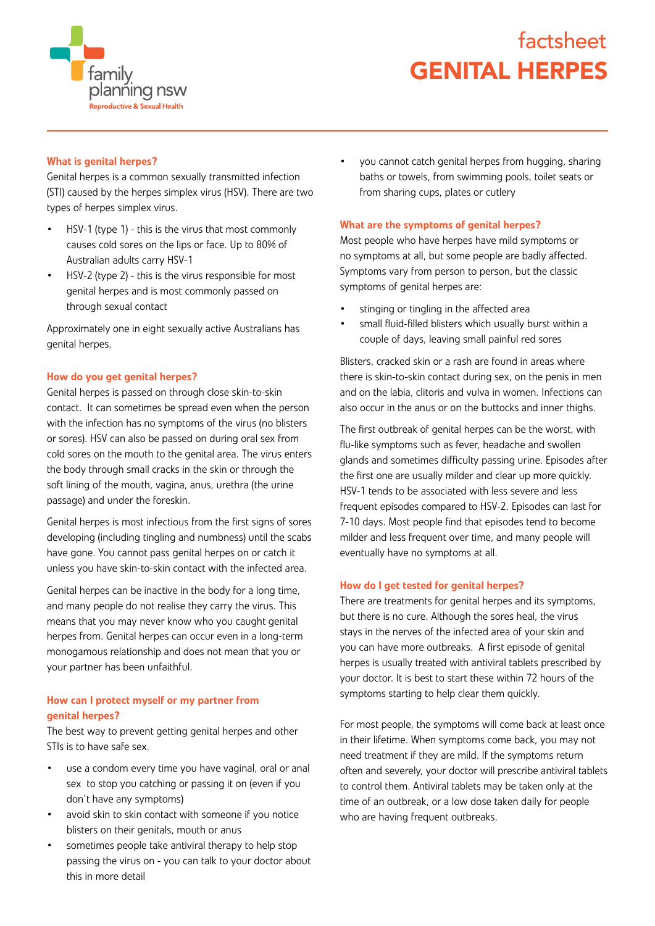

# GENITAL HERPES factsheet

## What is genital herpes?

Genital herpes is a common sexually transmitted infection (STI) caused by the herpes simplex virus (HSV). There are two types of herpes simplex virus.

- HSV-1 (type 1) this is the virus that most commonly causes cold sores on the lips or face. Up to 80% of Australian adults carry HSV-1
- HSV-2 (type 2) this is the virus responsible for most genital herpes and is most commonly passed on through sexual contact

Approximately one in eight sexually active Australians has genital herpes.

### How do you get genital herpes?

Genital herpes is passed on through close skin-to-skin contact. It can sometimes be spread even when the person with the infection has no symptoms of the virus (no blisters or sores). HSV can also be passed on during oral sex from cold sores on the mouth to the genital area. The virus enters the body through small cracks in the skin or through the soft lining of the mouth, vagina, anus, urethra (the urine passage) and under the foreskin.

Genital herpes is most infectious from the first signs of sores developing (including tingling and numbness) until the scabs have gone. You cannot pass genital herpes on or catch it unless you have skin-to-skin contact with the infected area.

Genital herpes can be inactive in the body for a long time, and many people do not realise they carry the virus. This means that you may never know who you caught genital herpes from. Genital herpes can occur even in a long-term monogamous relationship and does not mean that you or your partner has been unfaithful.

## How can I protect myself or my partner from genital herpes?

The best way to prevent getting genital herpes and other STIs is to have safe sex.

- use a condom every time you have vaginal, oral or anal sex to stop you catching or passing it on (even if you don't have any symptoms)
- avoid skin to skin contact with someone if you notice blisters on their genitals, mouth or anus
- sometimes people take antiviral therapy to help stop passing the virus on - you can talk to your doctor about this in more detail

• you cannot catch genital herpes from hugging, sharing baths or towels, from swimming pools, toilet seats or from sharing cups, plates or cutlery

#### What are the symptoms of genital herpes?

Most people who have herpes have mild symptoms or no symptoms at all, but some people are badly affected. Symptoms vary from person to person, but the classic symptoms of genital herpes are:

- stinging or tingling in the affected area
- small fluid-filled blisters which usually burst within a couple of days, leaving small painful red sores

Blisters, cracked skin or a rash are found in areas where there is skin-to-skin contact during sex, on the penis in men and on the labia, clitoris and vulva in women. Infections can also occur in the anus or on the buttocks and inner thighs.

The first outbreak of genital herpes can be the worst, with flu-like symptoms such as fever, headache and swollen glands and sometimes difficulty passing urine. Episodes after the first one are usually milder and clear up more quickly. HSV-1 tends to be associated with less severe and less frequent episodes compared to HSV-2. Episodes can last for 7-10 days. Most people find that episodes tend to become milder and less frequent over time, and many people will eventually have no symptoms at all.

#### How do I get tested for genital herpes?

There are treatments for genital herpes and its symptoms, but there is no cure. Although the sores heal, the virus stays in the nerves of the infected area of your skin and you can have more outbreaks. A first episode of genital herpes is usually treated with antiviral tablets prescribed by your doctor. It is best to start these within 72 hours of the symptoms starting to help clear them quickly.

For most people, the symptoms will come back at least once in their lifetime. When symptoms come back, you may not need treatment if they are mild. If the symptoms return often and severely, your doctor will prescribe antiviral tablets to control them. Antiviral tablets may be taken only at the time of an outbreak, or a low dose taken daily for people who are having frequent outbreaks.